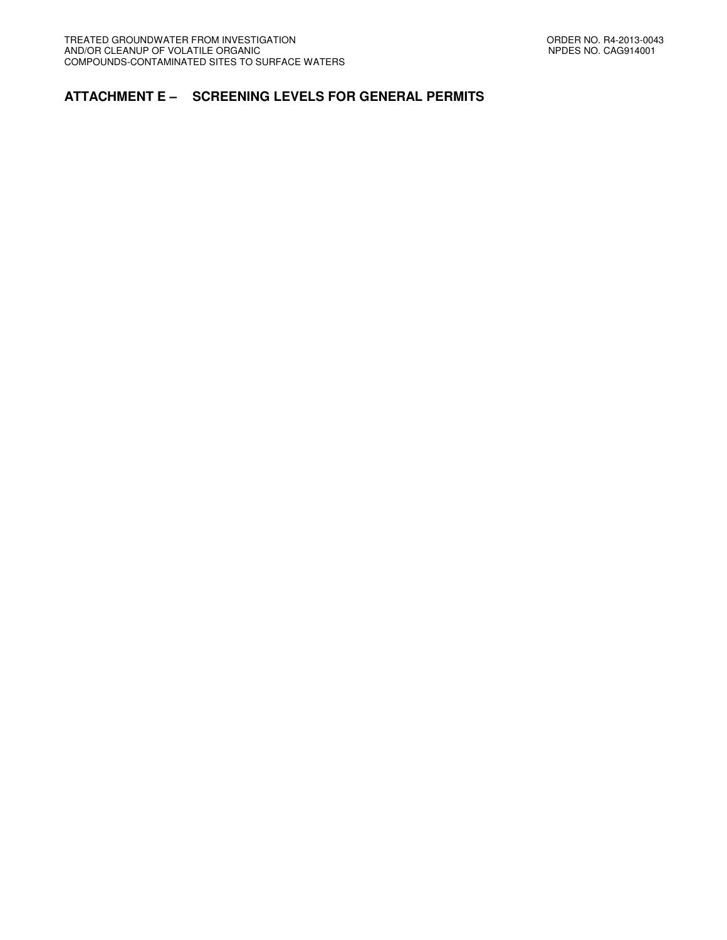## **ATTACHMENT E – SCREENING LEVELS FOR GENERAL PERMITS**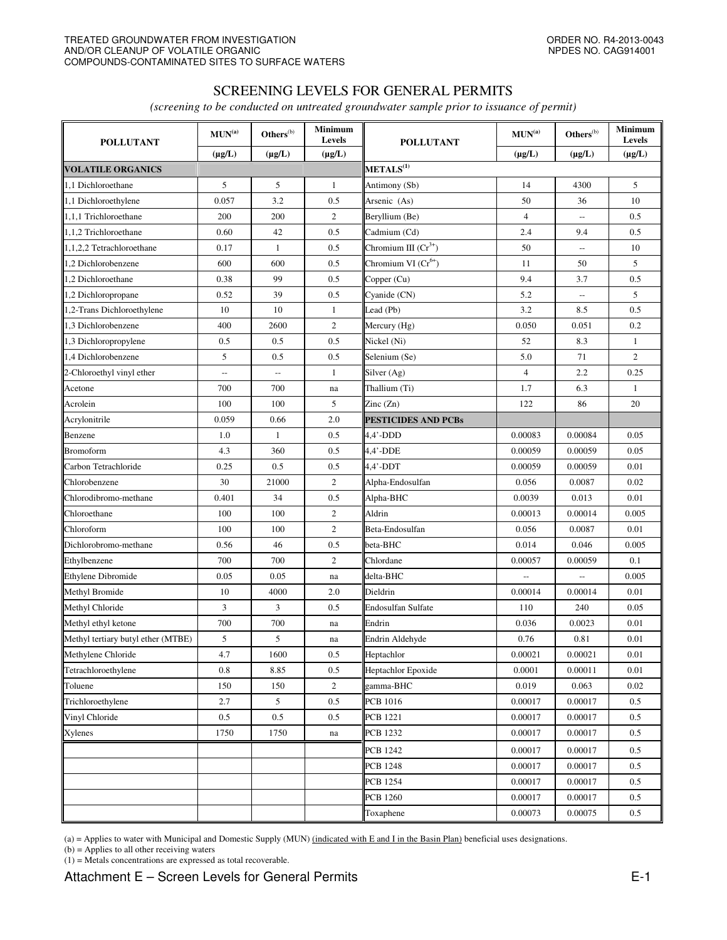## SCREENING LEVELS FOR GENERAL PERMITS

*(screening to be conducted on untreated groundwater sample prior to issuance of permit)* 

| <b>POLLUTANT</b>                   | $\textbf{MUN}^{(\text{a})}$<br>$(\mu g/L)$ | Others <sup>(b)</sup><br>$(\mu g/L)$ | <b>Minimum</b><br>Levels<br>$(\mu g/L)$ | <b>POLLUTANT</b>                | $\textbf{MUN}^\text{(a)}$ | $\mathbf{Others}^{(\mathrm{b})}$ | <b>Minimum</b><br>Levels |
|------------------------------------|--------------------------------------------|--------------------------------------|-----------------------------------------|---------------------------------|---------------------------|----------------------------------|--------------------------|
|                                    |                                            |                                      |                                         |                                 | $(\mu g/L)$               | $(\mu g/L)$                      | $(\mu g/L)$              |
| <b>VOLATILE ORGANICS</b>           |                                            |                                      |                                         | METALS <sup>(1)</sup>           |                           |                                  |                          |
| 1.1 Dichloroethane                 | 5                                          | 5                                    | 1                                       | Antimony (Sb)                   | 14                        | 4300                             | 5                        |
| 1,1 Dichloroethylene               | 0.057                                      | 3.2                                  | 0.5                                     | Arsenic (As)                    | 50                        | 36                               | 10                       |
| 1,1,1 Trichloroethane              | 200                                        | 200                                  | $\mathfrak{2}$                          | Beryllium (Be)                  | $\overline{4}$            | $\overline{a}$                   | 0.5                      |
| 1,1,2 Trichloroethane              | 0.60                                       | 42                                   | 0.5                                     | Cadmium (Cd)                    | 2.4                       | 9.4                              | 0.5                      |
| 1,1,2,2 Tetrachloroethane          | 0.17                                       | $\mathbf{1}$                         | 0.5                                     | Chromium III $(Cr^{3+})$        | 50                        | $\overline{\phantom{a}}$         | 10                       |
| 1,2 Dichlorobenzene                | 600                                        | 600                                  | 0.5                                     | Chromium VI (Cr <sup>6+</sup> ) | 11                        | 50                               | 5                        |
| 1,2 Dichloroethane                 | 0.38                                       | 99                                   | 0.5                                     | Copper (Cu)                     | 9.4                       | 3.7                              | 0.5                      |
| 1,2 Dichloropropane                | 0.52                                       | 39                                   | 0.5                                     | Cyanide (CN)                    | 5.2                       | $\overline{\phantom{a}}$         | 5                        |
| 1,2-Trans Dichloroethylene         | 10                                         | 10                                   | $\mathbf{1}$                            | Lead (Pb)                       | 3.2                       | 8.5                              | 0.5                      |
| 1,3 Dichlorobenzene                | 400                                        | 2600                                 | $\boldsymbol{2}$                        | Mercury (Hg)                    | 0.050                     | 0.051                            | 0.2                      |
| 1,3 Dichloropropylene              | 0.5                                        | 0.5                                  | 0.5                                     | Nickel (Ni)                     | 52                        | 8.3                              | $\mathbf{1}$             |
| 1.4 Dichlorobenzene                | 5                                          | 0.5                                  | 0.5                                     | Selenium (Se)                   | 5.0                       | 71                               | $\overline{c}$           |
| 2-Chloroethyl vinyl ether          | $\overline{a}$                             | $\overline{a}$                       | 1                                       | Silver (Ag)                     | $\overline{4}$            | 2.2                              | 0.25                     |
| Acetone                            | 700                                        | 700                                  | na                                      | Thallium (Ti)                   | 1.7                       | 6.3                              | $\mathbf{1}$             |
| Acrolein                           | 100                                        | 100                                  | 5                                       | Zinc $(Zn)$                     | 122                       | 86                               | 20                       |
| Acrylonitrile                      | 0.059                                      | 0.66                                 | 2.0                                     | <b>PESTICIDES AND PCBs</b>      |                           |                                  |                          |
| Benzene                            | 1.0                                        | 1                                    | 0.5                                     | $4,4'$ -DDD                     | 0.00083                   | 0.00084                          | 0.05                     |
| <b>Bromoform</b>                   | 4.3                                        | 360                                  | 0.5                                     | $4.4'$ -DDE                     | 0.00059                   | 0.00059                          | 0.05                     |
| Carbon Tetrachloride               | 0.25                                       | 0.5                                  | 0.5                                     | 4,4'-DDT                        | 0.00059                   | 0.00059                          | 0.01                     |
| Chlorobenzene                      | 30                                         | 21000                                | $\boldsymbol{2}$                        | Alpha-Endosulfan                | 0.056                     | 0.0087                           | 0.02                     |
| Chlorodibromo-methane              | 0.401                                      | 34                                   | 0.5                                     | Alpha-BHC                       | 0.0039                    | 0.013                            | 0.01                     |
| Chloroethane                       | 100                                        | 100                                  | $\mathbf{2}$                            | Aldrin                          | 0.00013                   | 0.00014                          | 0.005                    |
| Chloroform                         | 100                                        | 100                                  | $\mathbf{2}$                            | Beta-Endosulfan                 | 0.056                     | 0.0087                           | 0.01                     |
| Dichlorobromo-methane              | 0.56                                       | 46                                   | 0.5                                     | beta-BHC                        | 0.014                     | 0.046                            | 0.005                    |
| Ethylbenzene                       | 700                                        | 700                                  | $\boldsymbol{2}$                        | Chlordane                       | 0.00057                   | 0.00059                          | 0.1                      |
| Ethylene Dibromide                 | 0.05                                       | 0.05                                 | na                                      | delta-BHC                       | $\overline{\phantom{a}}$  | $\overline{\phantom{a}}$         | 0.005                    |
| Methyl Bromide                     | 10                                         | 4000                                 | 2.0                                     | Dieldrin                        | 0.00014                   | 0.00014                          | 0.01                     |
| Methyl Chloride                    | 3                                          | 3                                    | 0.5                                     | <b>Endosulfan Sulfate</b>       | 110                       | 240                              | 0.05                     |
| Methyl ethyl ketone                | 700                                        | 700                                  | na                                      | Endrin                          | 0.036                     | 0.0023                           | 0.01                     |
| Methyl tertiary butyl ether (MTBE) | 5                                          | 5                                    | na                                      | Endrin Aldehyde                 | 0.76                      | 0.81                             | 0.01                     |
| Methylene Chloride                 | 4.7                                        | 1600                                 | 0.5                                     | Heptachlor                      | 0.00021                   | 0.00021                          | 0.01                     |
| Tetrachloroethylene                | 0.8                                        | 8.85                                 | 0.5                                     | <b>Heptachlor Epoxide</b>       | 0.0001                    | 0.00011                          | 0.01                     |
| Toluene                            | 150                                        | 150                                  | $\overline{c}$                          | gamma-BHC                       | 0.019                     | 0.063                            | 0.02                     |
| Trichloroethylene                  | 2.7                                        | 5                                    | 0.5                                     | <b>PCB</b> 1016                 | 0.00017                   | 0.00017                          | 0.5                      |
| Vinyl Chloride                     | 0.5                                        | 0.5                                  | 0.5                                     | <b>PCB</b> 1221                 | 0.00017                   | 0.00017                          | $0.5\,$                  |
| Xylenes                            | 1750                                       | 1750                                 | na                                      | <b>PCB 1232</b>                 | 0.00017                   | 0.00017                          | 0.5                      |
|                                    |                                            |                                      |                                         | <b>PCB 1242</b>                 | 0.00017                   | 0.00017                          | 0.5                      |
|                                    |                                            |                                      |                                         | <b>PCB 1248</b>                 | 0.00017                   | 0.00017                          | 0.5                      |
|                                    |                                            |                                      |                                         | <b>PCB</b> 1254                 | 0.00017                   | 0.00017                          | 0.5                      |
|                                    |                                            |                                      |                                         | <b>PCB 1260</b>                 | 0.00017                   | 0.00017                          | 0.5                      |
|                                    |                                            |                                      |                                         | Toxaphene                       | 0.00073                   | 0.00075                          | 0.5                      |

(a) = Applies to water with Municipal and Domestic Supply (MUN) (indicated with E and I in the Basin Plan) beneficial uses designations.

(b) = Applies to all other receiving waters

(1) = Metals concentrations are expressed as total recoverable.

Attachment E – Screen Levels for General Permits **E-1**